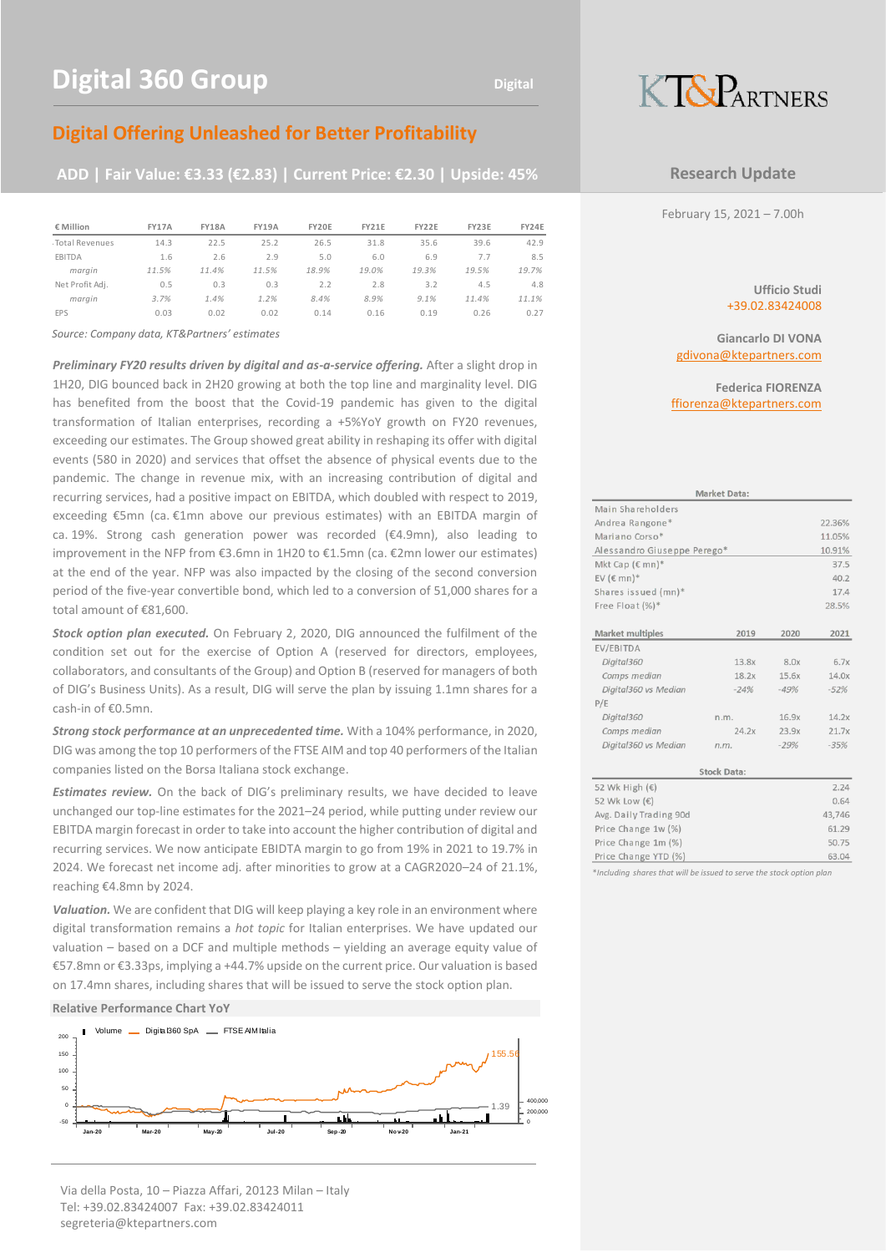## **Digital Offering Unleashed for Better Profitability**

### **ADD | Fair Value: €3.33 (€2.83) | Current Price: €2.30 | Upside: 45%**

| € Million       | FY17A | <b>FY18A</b> | <b>FY19A</b> | FY20E | FY21E | FY22E | FY23E | <b>FY24E</b> |
|-----------------|-------|--------------|--------------|-------|-------|-------|-------|--------------|
| Total Revenues  | 14.3  | 22.5         | 25.2         | 26.5  | 31.8  | 35.6  | 39.6  | 42.9         |
| EBITDA          | 1.6   | 2.6          | 2.9          | 5.0   | 6.0   | 6.9   | 7.7   | 8.5          |
| marain          | 11.5% | 11.4%        | 11.5%        | 18.9% | 19.0% | 19.3% | 19.5% | 19.7%        |
| Net Profit Adj. | 0.5   | 0.3          | 0.3          | 2.2   | 2.8   | 3.2   | 4.5   | 4.8          |
| marain          | 3.7%  | 1.4%         | 1.2%         | 8.4%  | 8.9%  | 9.1%  | 11.4% | 11.1%        |
| <b>EPS</b>      | 0.03  | 0.02         | 0.02         | 0.14  | 0.16  | 0.19  | 0.26  | 0.27         |
|                 |       |              |              |       |       |       |       |              |

*Source: Company data, KT&Partners' estimates*

*Preliminary FY20 results driven by digital and as-a-service offering.* After a slight drop in 1H20, DIG bounced back in 2H20 growing at both the top line and marginality level. DIG has benefited from the boost that the Covid-19 pandemic has given to the digital transformation of Italian enterprises, recording a +5%YoY growth on FY20 revenues, exceeding our estimates. The Group showed great ability in reshaping its offer with digital events (580 in 2020) and services that offset the absence of physical events due to the pandemic. The change in revenue mix, with an increasing contribution of digital and recurring services, had a positive impact on EBITDA, which doubled with respect to 2019, exceeding €5mn (ca. €1mn above our previous estimates) with an EBITDA margin of ca. 19%. Strong cash generation power was recorded (€4.9mn), also leading to improvement in the NFP from €3.6mn in 1H20 to €1.5mn (ca. €2mn lower our estimates) at the end of the year. NFP was also impacted by the closing of the second conversion period of the five-year convertible bond, which led to a conversion of 51,000 shares for a total amount of €81,600.

*Stock option plan executed.* On February 2, 2020, DIG announced the fulfilment of the condition set out for the exercise of Option A (reserved for directors, employees, collaborators, and consultants of the Group) and Option B (reserved for managers of both of DIG's Business Units). As a result, DIG will serve the plan by issuing 1.1mn shares for a cash-in of €0.5mn.

*Strong stock performance at an unprecedented time.* With a 104% performance, in 2020, DIG was among the top 10 performers of the FTSE AIM and top 40 performers of the Italian companies listed on the Borsa Italiana stock exchange.

*Estimates review.* On the back of DIG's preliminary results, we have decided to leave unchanged our top-line estimates for the 2021–24 period, while putting under review our EBITDA margin forecast in order to take into account the higher contribution of digital and recurring services. We now anticipate EBIDTA margin to go from 19% in 2021 to 19.7% in 2024. We forecast net income adj. after minorities to grow at a CAGR2020–24 of 21.1%, reaching €4.8mn by 2024.

*Valuation.* We are confident that DIG will keep playing a key role in an environment where digital transformation remains a *hot topic* for Italian enterprises. We have updated our valuation – based on a DCF and multiple methods – yielding an average equity value of €57.8mn or €3.33ps, implying a +44.7% upside on the current price. Our valuation is based on 17.4mn shares, including shares that will be issued to serve the stock option plan.

#### **Relative Performance Chart YoY**

segreteria@ktepartners.com



Via della Posta, 10 – Piazza Affari, 20123 Milan – Italy Tel: +39.02.83424007 Fax: +39.02.83424011



#### **Research Update**

February 15, 2021 – 7.00h

**Ufficio Studi** +39.02.83424008

**Giancarlo DI VONA** gdivona@ktepartners.com

**Federica FIORENZA** [ffiorenza@ktepartners.com](mailto:ffiorenza@ktepartners.com)

|                             | <b>Market Data:</b> |        |        |
|-----------------------------|---------------------|--------|--------|
| Main Shareholders           |                     |        |        |
| Andrea Rangone*             |                     |        | 22.36% |
| Mariano Corso*              |                     |        | 11.05% |
| Alessandro Giuseppe Perego* |                     |        | 10.91% |
| Mkt Cap ( $\in$ mn)*        |                     |        | 37.5   |
| EV ( $\in$ mn)*             |                     |        | 40.2   |
| Shares issued (mn)*         |                     |        | 17.4   |
| Free Float $(\%)^*$         |                     |        | 28.5%  |
|                             |                     |        |        |
| Market multiples            | 2019                | 2020   | 2021   |
| EV/EBITDA                   |                     |        |        |
| Digital360                  | 13.8x               | 8.0x   | 6.7x   |
| Comps median                | 18.2x               | 15.6x  | 14.0x  |
| Digital360 vs Median        | $-24%$              | $-49%$ | $-52%$ |
| P/E                         |                     |        |        |
| Digital360                  | n.m.                | 16.9x  | 14.2x  |
| Comps median                | 24.2x               | 23.9x  | 21.7x  |
| Digital360 vs Median        | n.m.                | $-29%$ | $-35%$ |
|                             | <b>Stock Data:</b>  |        |        |
| 52 Wk High (€)              |                     |        | 2.24   |
| 52 Wk Low (€)               |                     |        | 0.64   |
| Avg. Daily Trading 90d      |                     |        | 43,746 |
| Price Change 1w (%)         |                     |        | 61.29  |
| Price Change 1m (%)         |                     |        | 50.75  |
| Price Change YTD (%)        |                     |        | 63.04  |

\**Including shares that will be issued to serve the stock option plan*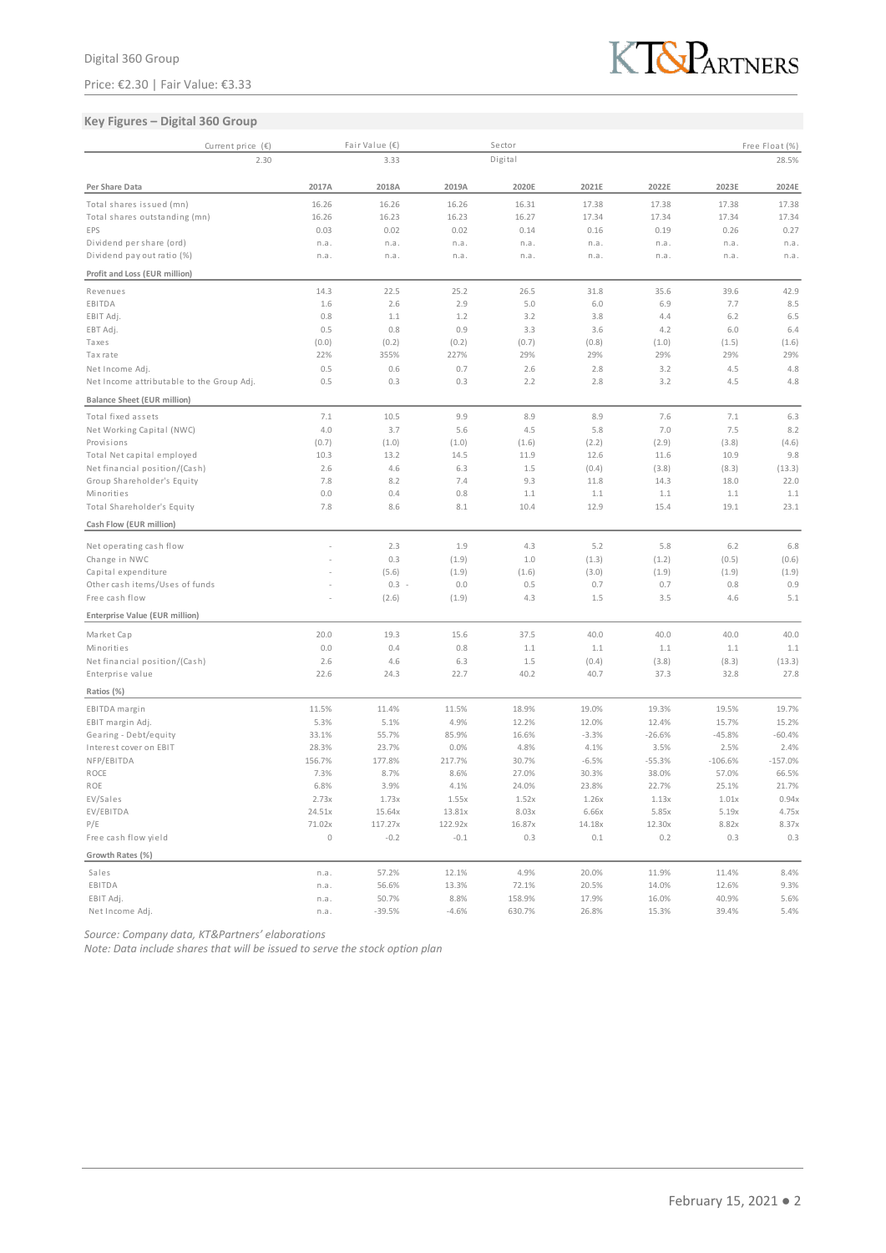Price: €2.30 | Fair Value: €3.33



#### **Key Figures – Digital 360 Group**

| Current price $(E)$                                   |             | Fair Value (€)   |              | Sector        |              |               |            | Free Float (%) |
|-------------------------------------------------------|-------------|------------------|--------------|---------------|--------------|---------------|------------|----------------|
| 2.30                                                  |             | 3.33             |              | Digital       |              |               |            | 28.5%          |
| Per Share Data                                        | 2017A       | 2018A            | 2019A        | 2020E         | 2021E        | 2022E         | 2023E      | 2024E          |
| Total shares issued (mn)                              | 16.26       | 16.26            | 16.26        | 16.31         | 17.38        | 17.38         | 17.38      | 17.38          |
| Total shares outstanding (mn)                         | 16.26       | 16.23            | 16.23        | 16.27         | 17.34        | 17.34         | 17.34      | 17.34          |
| EPS                                                   | 0.03        | 0.02             | 0.02         | 0.14          | 0.16         | 0.19          | 0.26       | 0.27           |
| Dividend per share (ord)                              | n.a.        | n.a.             | n.a.         | n.a.          | n.a.         | n.a.          | n.a.       | n.a.           |
| Dividend pay out ratio (%)                            | n.a.        | n.a.             | n.a.         | n.a.          | n.a.         | n.a.          | n.a.       | n.a.           |
| Profit and Loss (EUR million)                         |             |                  |              |               |              |               |            |                |
| Revenues                                              | 14.3        | 22.5             | 25.2         | 26.5          | 31.8         | 35.6          | 39.6       | 42.9           |
| EBITDA                                                | 1.6         | 2.6              | 2.9          | 5.0           | 6.0          | 6.9           | 7.7        | 8.5            |
| EBIT Adj.                                             | 0.8         | 1.1              | 1.2          | 3.2           | 3.8          | 4.4           | 6.2        | 6.5            |
| EBT Adj.                                              | 0.5         | 0.8              | 0.9          | 3.3           | 3.6          | 4.2           | 6.0        | 6.4            |
| Taxes                                                 | (0.0)       | (0.2)            | (0.2)        | (0.7)         | (0.8)        | (1.0)         | (1.5)      | (1.6)          |
| Taxrate                                               | 22%         | 355%             | 227%         | 29%           | 29%          | 29%           | 29%        | 29%            |
| Net Income Adj.                                       | 0.5         | 0.6              | 0.7          | 2.6           | 2.8          | 3.2           | 4.5        | 4.8            |
| Net Income attributable to the Group Adj.             | 0.5         | 0.3              | 0.3          | 2.2           | 2.8          | 3.2           | 4.5        | 4.8            |
| <b>Balance Sheet (EUR million)</b>                    |             |                  |              |               |              |               |            |                |
| Total fixed assets                                    | 7.1         | 10.5             | 9.9          | 8.9           | 8.9          | 7.6           | 7.1        | 6.3            |
| Net Working Capital (NWC)                             | 4.0         | 3.7              | 5.6          | 4.5           | 5.8          | 7.0           | 7.5        | 8.2            |
| Provisions                                            | (0.7)       | (1.0)            | (1.0)        | (1.6)         | (2.2)        | (2.9)         | (3.8)      | (4.6)          |
| Total Net capital employed                            | 10.3        | 13.2             | 14.5         | 11.9          | 12.6         | 11.6          | 10.9       | 9.8            |
| Net financial position/(Cash)                         | 2.6         | 4.6              | 6.3          | 1.5           | (0.4)        | (3.8)         | (8.3)      | (13.3)         |
| Group Shareholder's Equity                            | 7.8         | 8.2              | 7.4          | 9.3           | 11.8         | 14.3          | 18.0       | 22.0           |
| Minorities                                            | 0.0         | 0.4              | 0.8          | 1.1           | 1.1          | 1.1           | 1.1        | 1.1            |
| Total Shareholder's Equity                            | 7.8         | 8.6              | 8.1          | 10.4          | 12.9         | 15.4          | 19.1       | 23.1           |
| Cash Flow (EUR million)                               |             |                  |              |               |              |               |            |                |
|                                                       |             |                  |              |               |              |               |            |                |
| Net operating cash flow                               |             | 2.3              | 1.9          | 4.3           | 5.2          | 5.8           | 6.2        | 6.8            |
| Change in NWC                                         |             | 0.3              | (1.9)        | 1.0           | (1.3)        | (1.2)         | (0.5)      | (0.6)          |
| Capital expenditure<br>Other cash items/Uses of funds |             | (5.6)<br>$0.3 -$ | (1.9)<br>0.0 | (1.6)         | (3.0)<br>0.7 | (1.9)         | (1.9)      | (1.9)<br>0.9   |
| Free cash flow                                        |             |                  | (1.9)        | 0.5<br>4.3    | 1.5          | 0.7<br>3.5    | 0.8<br>4.6 | 5.1            |
|                                                       |             | (2.6)            |              |               |              |               |            |                |
| Enterprise Value (EUR million)                        |             |                  |              |               |              |               |            |                |
| Market Cap                                            | 20.0        | 19.3             | 15.6         | 37.5          | 40.0         | 40.0          | 40.0       | 40.0           |
| Minorities                                            | 0.0         | 0.4              | 0.8          | 1.1           | 1.1          | 1.1           | 1.1        | 1.1            |
| Net financial position/(Cash)                         | 2.6         | 4.6              | 6.3          | 1.5           | (0.4)        | (3.8)         | (8.3)      | (13.3)         |
| Enterprise value                                      | 22.6        | 24.3             | 22.7         | 40.2          | 40.7         | 37.3          | 32.8       | 27.8           |
| Ratios (%)                                            |             |                  |              |               |              |               |            |                |
| EBITDA margin                                         | 11.5%       | 11.4%            | 11.5%        | 18.9%         | 19.0%        | 19.3%         | 19.5%      | 19.7%          |
| EBIT margin Adj.                                      | 5.3%        | 5.1%             | 4.9%         | 12.2%         | 12.0%        | 12.4%         | 15.7%      | 15.2%          |
| Gearing - Debt/equity                                 | 33.1%       | 55.7%            | 85.9%        | 16.6%         | $-3.3%$      | $-26.6%$      | $-45.8%$   | $-60.4%$       |
| Interest cover on EBIT                                | 28.3%       | 23.7%            | 0.0%         | 4.8%          | 4.1%         | 3.5%          | 2.5%       | 2.4%           |
| NFP/EBITDA                                            | 156.7%      | 177.8%           | 217.7%       | 30.7%         | $-6.5%$      | $-55.3%$      | $-106.6%$  | $-157.0%$      |
| ROCE                                                  | 7.3%        | 8.7%             | 8.6%         | 27.0%         | 30.3%        | 38.0%         | 57.0%      | 66.5%          |
| ROE                                                   | 6.8%        | 3.9%             | 4.1%         | 24.0%         | 23.8%        | 22.7%         | 25.1%      | 21.7%          |
| EV/Sales                                              | 2.73x       | 1.73x            | 1.55x        | 1.52x         | 1.26x        | 1.13x         | 1.01x      | 0.94x          |
| EV/EBITDA                                             | 24.51x      | 15.64x           | 13.81x       | 8.03x         | 6.66x        | 5.85x         | 5.19x      | 4.75x          |
| P/E<br>Free cash flow yield                           | 71.02x      | 117.27x          | 122.92x      | 16.87x<br>0.3 | 14.18x       | 12.30x<br>0.2 | 8.82x      | 8.37x          |
|                                                       | $\mathbb O$ | $-0.2$           | $-0.1$       |               | 0.1          |               | 0.3        | 0.3            |
| Growth Rates (%)                                      |             |                  |              |               |              |               |            |                |
| Sales                                                 | n.a.        | 57.2%            | 12.1%        | 4.9%          | 20.0%        | 11.9%         | 11.4%      | 8.4%           |
| EBITDA<br>EBIT Adj.                                   | n.a.        | 56.6%            | 13.3%        | 72.1%         | 20.5%        | 14.0%         | 12.6%      | 9.3%           |
| Net Income Adj.                                       | n.a.        | 50.7%            | 8.8%         | 158.9%        | 17.9%        | 16.0%         | 40.9%      | 5.6%           |
|                                                       | n.a.        | $-39.5%$         | $-4.6%$      | 630.7%        | 26.8%        | 15.3%         | 39.4%      | 5.4%           |

*Source: Company data, KT&Partners' elaborations*

*Note: Data include shares that will be issued to serve the stock option plan*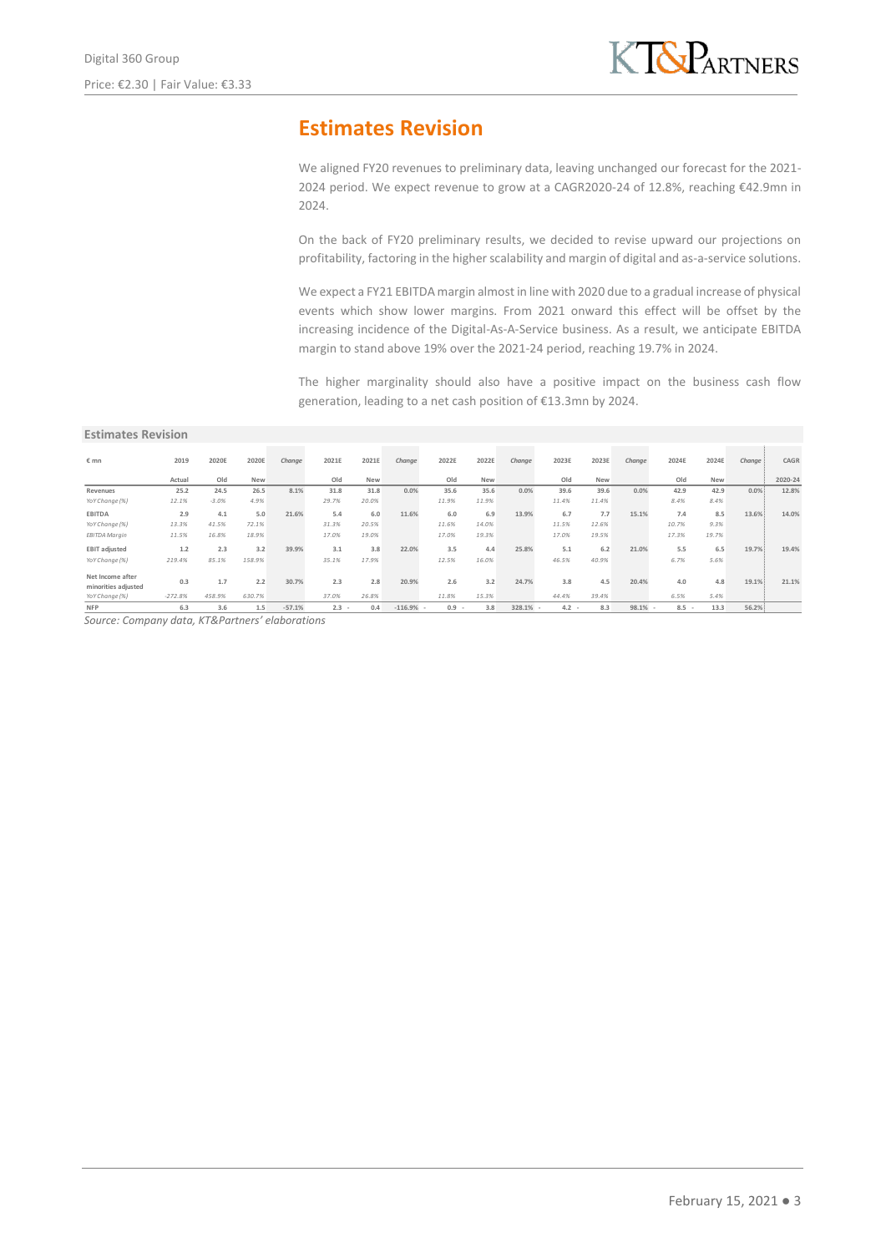## **Estimates Revision**

We aligned FY20 revenues to preliminary data, leaving unchanged our forecast for the 2021- 2024 period. We expect revenue to grow at a CAGR2020-24 of 12.8%, reaching €42.9mn in 2024.

On the back of FY20 preliminary results, we decided to revise upward our projections on profitability, factoring in the higher scalability and margin of digital and as-a-service solutions.

We expect a FY21 EBITDA margin almost in line with 2020 due to a gradual increase of physical events which show lower margins. From 2021 onward this effect will be offset by the increasing incidence of the Digital-As-A-Service business. As a result, we anticipate EBITDA margin to stand above 19% over the 2021-24 period, reaching 19.7% in 2024.

The higher marginality should also have a positive impact on the business cash flow generation, leading to a net cash position of €13.3mn by 2024.

#### **Estimates Revision**

| $\varepsilon$ mn                                          | 2019             | 2020E         | 2020E         | Change   | 2021E        | 2021E        | Change    | 2022E        | 2022E        | Change | 2023E        | 2023E        | Change | 2024E       | 2024E       | Change | CAGR    |
|-----------------------------------------------------------|------------------|---------------|---------------|----------|--------------|--------------|-----------|--------------|--------------|--------|--------------|--------------|--------|-------------|-------------|--------|---------|
|                                                           | Actual           | Old           | <b>New</b>    |          | Old          | New          |           | Old          | <b>New</b>   |        | Old          | New          |        | Old         | <b>New</b>  |        | 2020-24 |
| Revenues                                                  | 25.2             | 24.5          | 26.5          | 8.1%     | 31.8         | 31.8         | 0.0%      | 35.6         | 35.6         | 0.0%   | 39.6         | 39.6         | 0.0%   | 42.9        | 42.9        | 0.0%   | 12.8%   |
| YoY Change (%)                                            | 12.1%            | $-3.0%$       | 4.9%          |          | 29.7%        | 20.0%        |           | 11.9%        | 11.9%        |        | 11.4%        | 11.4%        |        | 8.4%        | 8.4%        |        |         |
| <b>EBITDA</b>                                             | 2.9              | 4.1           | 5.0           | 21.6%    | 5.4          | 6.0          | 11.6%     | 6.0          | 6.9          | 13.9%  | 6.7          | 7.7          | 15.1%  | 7.4         | 8.5         | 13.6%  | 14.0%   |
| YoY Change (%)                                            | 13.3%            | 41.5%         | 72.1%         |          | 31.3%        | 20.5%        |           | 11.6%        | 14.0%        |        | 11.5%        | 12.6%        |        | 10.7%       | 9.3%        |        |         |
| EBITDA Marain                                             | 11.5%            | 16.8%         | 18.9%         |          | 17.0%        | 19.0%        |           | 17.0%        | 19.3%        |        | 17.0%        | 19.5%        |        | 17.3%       | 19.7%       |        |         |
| <b>EBIT adjusted</b>                                      | 1.2              | 2.3           | 3.2           | 39.9%    | 3.1          | 3.8          | 22.0%     | 3.5          | 4.4          | 25.8%  | 5.1          | 6.2          | 21.0%  | 5.5         | 6.5         | 19.7%  | 19.4%   |
| YoY Change (%)                                            | 219.4%           | 85.1%         | 158.9%        |          | 35.1%        | 17.9%        |           | 12.5%        | 16.0%        |        | 46.5%        | 40.9%        |        | 6.7%        | 5.6%        |        |         |
| Net Income after<br>minorities adiusted<br>YoY Change (%) | 0.3<br>$-272.8%$ | 1.7<br>458.9% | 2.2<br>630.7% | 30.7%    | 2.3<br>37.0% | 2.8<br>26.8% | 20.9%     | 2.6<br>11.8% | 3.2<br>15.3% | 24.7%  | 3.8<br>44.4% | 4.5<br>39.4% | 20.4%  | 4.0<br>6.5% | 4.8<br>5.4% | 19.1%  | 21.1%   |
| <b>NFP</b>                                                | 6.3              | 3.6           | 1.5           | $-57.1%$ | $2.3 -$      | 0.4          | $-116.9%$ | 0.9          | 3.8          | 328.1% | 4.2          | 8.3          | 98.1%  | $8.5 -$     | 13.3        | 56.2%  |         |

*Source: Company data, KT&Partners' elaborations*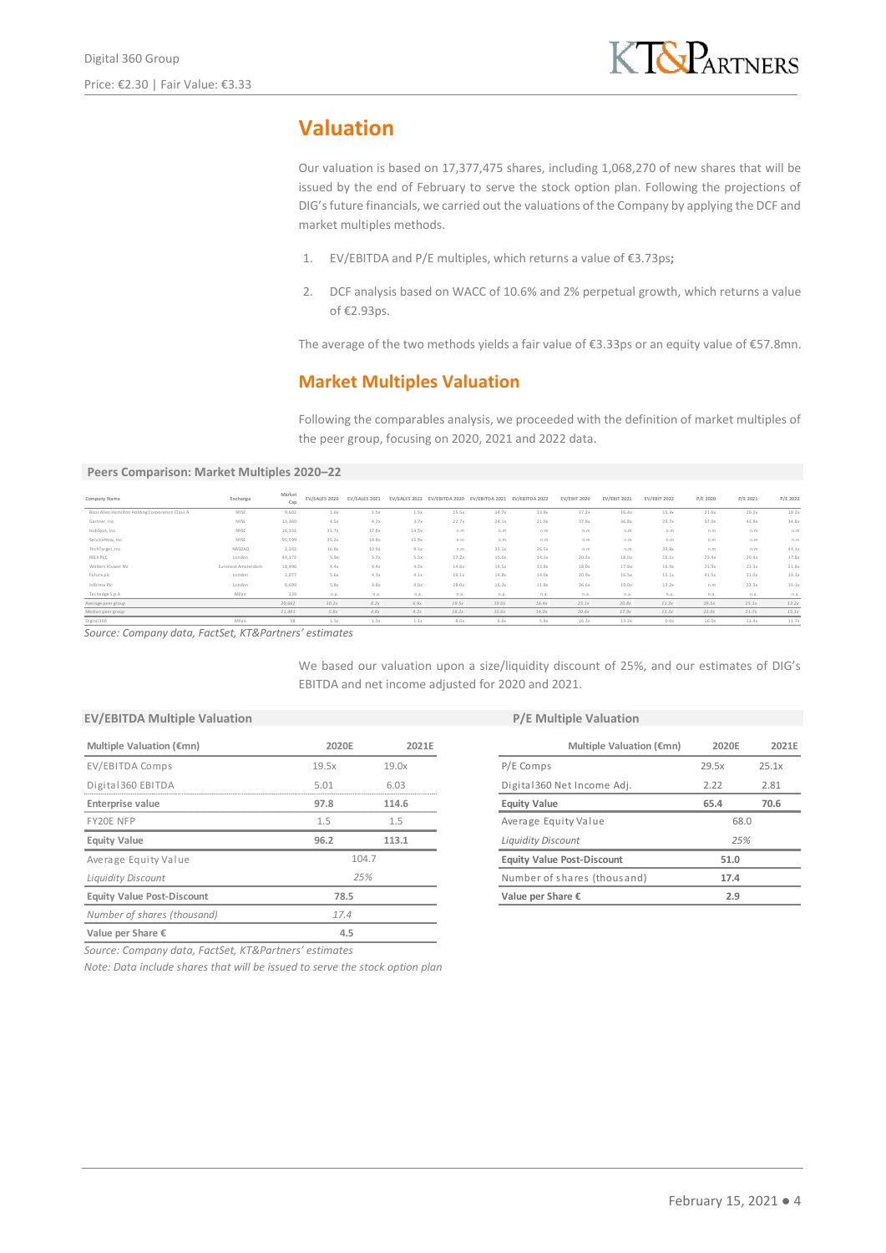# **Valuation**

Our valuation is based on 17,377,475 shares, including 1,068,270 of new shares that will be issued by the end of February to serve the stock option plan. Following the projections of DIG's future financials, we carried out the valuations of the Company by applying the DCF and market multiples methods.

- 1. EV/EBITDA and P/E multiples, which returns a value of €3.73ps**;**
- 2. DCF analysis based on WACC of 10.6% and 2% perpetual growth, which returns a value of €2.93ps.

The average of the two methods yields a fair value of €3.33ps or an equity value of €57.8mn.

## **Market Multiples Valuation**

Following the comparables analysis, we proceeded with the definition of market multiples of the peer group, focusing on 2020, 2021 and 2022 data.

**Peers Comparison: Market Multiples 2020–22**

| Company Name                                          | Exchange           | Market<br>Cap | EV/SALES 2020 | EV/SALES 2021 |       |       | EV/SALES 2022 EV/EBITDA 2020 EV/EBITDA 2021 EV/EBITDA 2022 |       | <b>EV/EBIT 2020</b> | <b>EV/EBIT 2021</b> | <b>EV/EBIT 2022</b> | P/E 2020 | P/E 2021 | P/E 2022 |
|-------------------------------------------------------|--------------------|---------------|---------------|---------------|-------|-------|------------------------------------------------------------|-------|---------------------|---------------------|---------------------|----------|----------|----------|
| Booz Allen Hamilton Holding Corporation Class A       | NYSE               | 9,602         | 1.6x          | 1.5x          | 1.5x  | 15.5x | 14.7x                                                      | 13.8x | 17.2x               | 16.4x               | 15.3x               | 21.6x    | 20.2x    | 18.2x    |
| Gartner, Inc.                                         | NYSE               | 13,360        | 4.5x          | 4.2x          | 3.7x  | 22.7x | 24.1x                                                      | 21.0x | 37.8x               | 36.8x               | 29.7x               | 37.0x    | 43.4x    | 34.8x    |
| HubSpot, Inc.                                         | NYSE               | 16.331        | 21.7x         | 17.8x         | 14.5x | n.m   | n.m                                                        | n.m   | n.m                 | n.m                 | n.m                 | n.m      | n.m      | n.m      |
| ServiceNow, Inc.                                      | NYSE               | 95,599        | 25.2x         | 19.8x         | 15.9x | n.m   | n.m                                                        | n.m   | n.m                 | n.m                 | n.m                 | n.m      | n.m      | n.m      |
| TechTarget, Inc.                                      | NASDAQ             | 2,142         | 16.8x         | 10.9x         | 9.3x  | n.m   | 33.1x                                                      | 26.5x | n.m                 | n.m                 | 39.8x               | n.m      | n.m      | 44.1x    |
| RELX PLC                                              | London             | 40,172        | 5.9x          | 5.7x          | 5.3x  | 17.2x | 15.6x                                                      | 14.1x | 20.3x               | 18.0x               | 16.1x               | 23.4x    | 20.4x    | 17.8x    |
| Wolters Kluwer NV                                     | Euronext Amsterdam | 18,496        | 4.4x          | 4.4x          | 4.2x  | 14.6x | 14.5x                                                      | 13.8x | 18.0x               | 17.8x               | 16.9x               | 23.9x    | 23.3x    | 21.8x    |
| Future plc                                            | London             | 2.077         | 5.6x          | 4.3x          | 4.1x  | 19.1x | 14.8x                                                      | 14.0x | 20.9x               | 16.5x               | 15.1x               | 41.5x    | 21.0x    | 19.3x    |
| Informa Plc                                           | London             | 8.699         | 5.8x          | 4.8x          | 4.0x  | 28.0x | 16.2x                                                      | 11.8x | 36.6x               | 19.0x               | 13.2x               | n.m      | 22.3x    | 15.1x    |
| Techedge S.p.A                                        | Milan              | 139           | n.a.          | n.a.          | n.a.  | n.a.  | n.a.                                                       | n.a.  | n.a.                | n.a.                | n.a.                | n.a.     | n.a.     | n.a.     |
| Average peer group                                    |                    | 20,662        | 10.2x         | 8.2x          | 6.9x  | 19.5x | 19.0x                                                      | 16.4x | 25.1x               | 20.8x               | 11.2x               | 29.5x    | 25.1x    | 13.2x    |
| Median peer group                                     |                    | 11,481        | 5.8x          | 4.8x          | 4.2x  | 18.2x | 15.6x                                                      | 14.0x | 20.6x               | 17.9x               | 13.2x               | 23.9x    | 21.7x    | 15.1x    |
| Digital360                                            | Milan              | 38            | 1.5x          | 1.3x          | 1.1x  | 8.0x  | 6.6x                                                       | 5.8x  | 16.3x               | 13.2x               | 0.0x                | 16.0x    | 13.4x    | 11.7x    |
| Source: Company data, FactSet, KT&Partners' estimates |                    |               |               |               |       |       |                                                            |       |                     |                     |                     |          |          |          |

We based our valuation upon a size/liquidity discount of 25%, and our estimates of DIG's EBITDA and net income adjusted for 2020 and 2021.

|                                   |            | $1 / L = 1$ |                                   |       |       |  |  |  |  |  |  |
|-----------------------------------|------------|-------------|-----------------------------------|-------|-------|--|--|--|--|--|--|
| Multiple Valuation (€mn)          | 2020E      | 2021E       | Multiple Valuation (€mn)          | 2020E | 2021E |  |  |  |  |  |  |
| EV/EBITDA Comps                   | 19.5x      | 19.0x       | P/E Comps                         | 29.5x | 25.1x |  |  |  |  |  |  |
| Digital 360 EBITDA                | 5.01       | 6.03        | Digital 360 Net Income Adj.       | 2.22  | 2.81  |  |  |  |  |  |  |
| Enterprise value                  | 97.8       | 114.6       | <b>Equity Value</b>               | 65.4  | 70.6  |  |  |  |  |  |  |
| FY20E NFP                         | 1.5<br>1.5 |             | Average Equity Value              |       | 68.0  |  |  |  |  |  |  |
| <b>Equity Value</b>               | 96.2       | 113.1       | <b>Liquidity Discount</b>         | 25%   |       |  |  |  |  |  |  |
| Average Equity Value              | 104.7      |             | <b>Equity Value Post-Discount</b> | 51.0  |       |  |  |  |  |  |  |
| <b>Liquidity Discount</b>         | 25%        |             | Number of shares (thousand)       | 17.4  |       |  |  |  |  |  |  |
| <b>Equity Value Post-Discount</b> | 78.5       |             | Value per Share €                 | 2.9   |       |  |  |  |  |  |  |
| Number of shares (thousand)       | 17.4       |             |                                   |       |       |  |  |  |  |  |  |
| Value per Share $\epsilon$        | 4.5        |             |                                   |       |       |  |  |  |  |  |  |
|                                   |            |             |                                   |       |       |  |  |  |  |  |  |

#### **EV/EBITDA Multiple Valuation EV/EBITDA Multiple Valuation**

| Multiple Valuation (€mn)          | 2020F | 2021F |
|-----------------------------------|-------|-------|
| P/E Comps                         | 29.5x | 25.1x |
| Digital 360 Net Income Adj.       | 2.22  | 2.81  |
| <b>Equity Value</b>               | 65.4  | 70.6  |
| Average Equity Value              | 68.0  |       |
| <b>Liquidity Discount</b>         | 25%   |       |
| <b>Equity Value Post-Discount</b> | 51.0  |       |
| Number of shares (thousand)       | 17.4  |       |
| Value per Share €                 | 2.9   |       |

*Source: Company data, FactSet, KT&Partners' estimates*

*Note: Data include shares that will be issued to serve the stock option plan*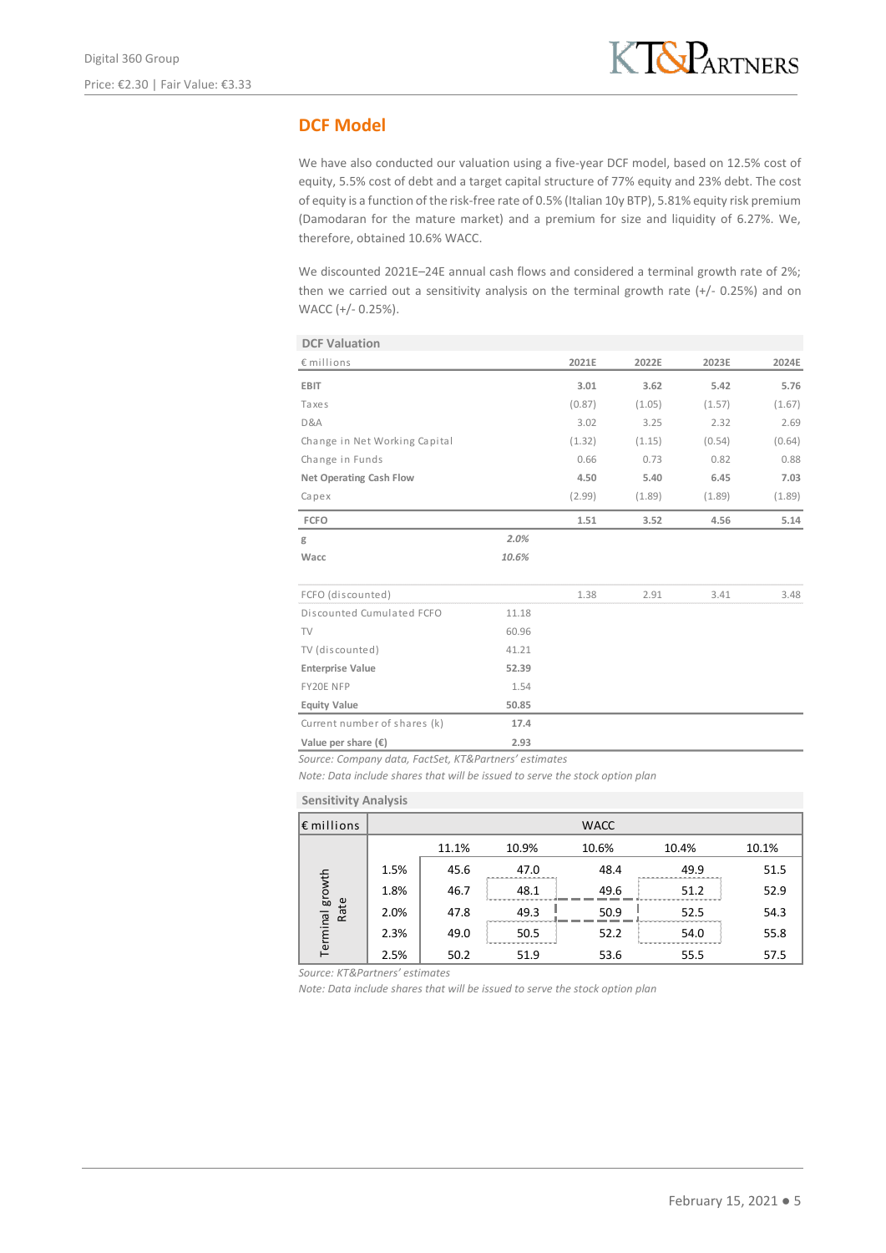## **DCF Model**

We have also conducted our valuation using a five-year DCF model, based on 12.5% cost of equity, 5.5% cost of debt and a target capital structure of 77% equity and 23% debt. The cost of equity is a function of the risk-free rate of 0.5% (Italian 10y BTP), 5.81% equity risk premium (Damodaran for the mature market) and a premium for size and liquidity of 6.27%. We, therefore, obtained 10.6% WACC.

We discounted 2021E–24E annual cash flows and considered a terminal growth rate of 2%: then we carried out a sensitivity analysis on the terminal growth rate (+/- 0.25%) and on WACC (+/- 0.25%).

| <b>DCF Valuation</b>           |       |        |        |        |        |
|--------------------------------|-------|--------|--------|--------|--------|
| € millions                     |       | 2021E  | 2022E  | 2023E  | 2024E  |
| <b>EBIT</b>                    |       | 3.01   | 3.62   | 5.42   | 5.76   |
| Taxes                          |       | (0.87) | (1.05) | (1.57) | (1.67) |
| D&A                            |       | 3.02   | 3.25   | 2.32   | 2.69   |
| Change in Net Working Capital  |       | (1.32) | (1.15) | (0.54) | (0.64) |
| Change in Funds                |       | 0.66   | 0.73   | 0.82   | 0.88   |
| <b>Net Operating Cash Flow</b> |       | 4.50   | 5.40   | 6.45   | 7.03   |
| Capex                          |       | (2.99) | (1.89) | (1.89) | (1.89) |
| <b>FCFO</b>                    |       | 1.51   | 3.52   | 4.56   | 5.14   |
| g                              | 2.0%  |        |        |        |        |
| Wacc                           | 10.6% |        |        |        |        |
| FCFO (discounted)              |       | 1.38   | 2.91   | 3.41   | 3.48   |
| Discounted Cumulated FCFO      | 11.18 |        |        |        |        |
| TV                             | 60.96 |        |        |        |        |
| TV (discounted)                | 41.21 |        |        |        |        |
| <b>Enterprise Value</b>        | 52.39 |        |        |        |        |
| FY20E NFP                      | 1.54  |        |        |        |        |
| <b>Equity Value</b>            | 50.85 |        |        |        |        |
| Current number of shares (k)   | 17.4  |        |        |        |        |
| Value per share $(\epsilon)$   | 2.93  |        |        |        |        |

*Source: Company data, FactSet, KT&Partners' estimates*

*Note: Data include shares that will be issued to serve the stock option plan*

**Sensitivity Analysis**

| $\epsilon$ millions |      |       |       | <b>WACC</b> |       |       |
|---------------------|------|-------|-------|-------------|-------|-------|
|                     |      | 11.1% | 10.9% | 10.6%       | 10.4% | 10.1% |
|                     | 1.5% | 45.6  | 47.0  | 48.4        | 49.9  | 51.5  |
|                     | 1.8% | 46.7  | 48.1  | 49.6        | 51.2  | 52.9  |
| Rate                | 2.0% | 47.8  | 49.3  | 50.9        | 52.5  | 54.3  |
| Terminal growth     | 2.3% | 49.0  | 50.5  | 52.2        | 54.0  | 55.8  |
|                     | 2.5% | 50.2  | 51.9  | 53.6        | 55.5  | 57.5  |

*Source: KT&Partners' estimates*

*Note: Data include shares that will be issued to serve the stock option plan*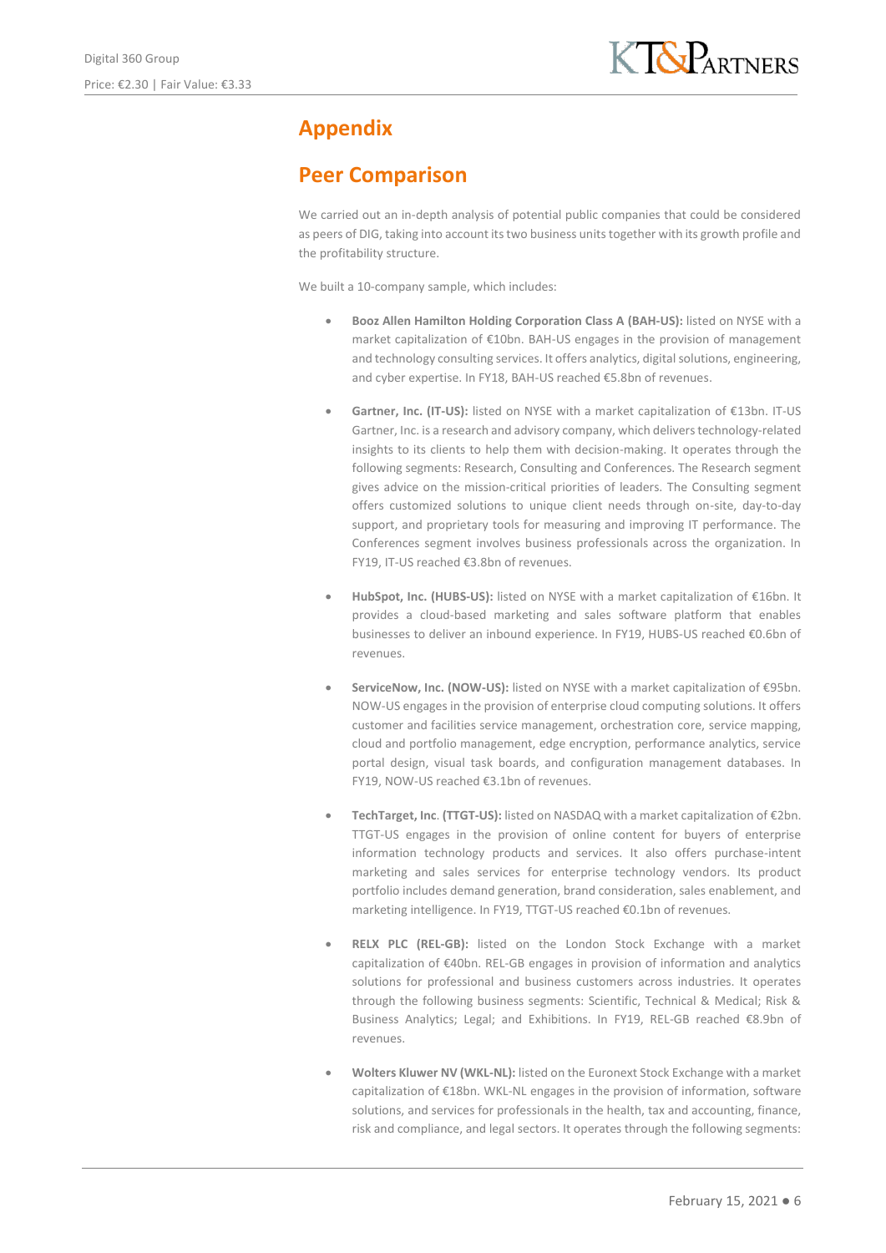# **Appendix**

## **Peer Comparison**

We carried out an in-depth analysis of potential public companies that could be considered as peers of DIG, taking into account its two business units together with its growth profile and the profitability structure.

We built a 10-company sample, which includes:

- **Booz Allen Hamilton Holding Corporation Class A (BAH-US):** listed on NYSE with a market capitalization of €10bn. BAH-US engages in the provision of management and technology consulting services. It offers analytics, digital solutions, engineering, and cyber expertise. In FY18, BAH-US reached €5.8bn of revenues.
- **Gartner, Inc. (IT-US):** listed on NYSE with a market capitalization of €13bn. IT-US Gartner, Inc. is a research and advisory company, which delivers technology-related insights to its clients to help them with decision-making. It operates through the following segments: Research, Consulting and Conferences. The Research segment gives advice on the mission-critical priorities of leaders. The Consulting segment offers customized solutions to unique client needs through on-site, day-to-day support, and proprietary tools for measuring and improving IT performance. The Conferences segment involves business professionals across the organization. In FY19, IT-US reached €3.8bn of revenues.
- **HubSpot, Inc. (HUBS-US):** listed on NYSE with a market capitalization of €16bn. It provides a cloud-based marketing and sales software platform that enables businesses to deliver an inbound experience. In FY19, HUBS-US reached €0.6bn of revenues.
- **ServiceNow, Inc. (NOW-US):** listed on NYSE with a market capitalization of €95bn. NOW-US engages in the provision of enterprise cloud computing solutions. It offers customer and facilities service management, orchestration core, service mapping, cloud and portfolio management, edge encryption, performance analytics, service portal design, visual task boards, and configuration management databases. In FY19, NOW-US reached €3.1bn of revenues.
- **TechTarget, Inc**. **(TTGT-US):** listed on NASDAQ with a market capitalization of €2bn. TTGT-US engages in the provision of online content for buyers of enterprise information technology products and services. It also offers purchase-intent marketing and sales services for enterprise technology vendors. Its product portfolio includes demand generation, brand consideration, sales enablement, and marketing intelligence. In FY19, TTGT-US reached €0.1bn of revenues.
- **RELX PLC (REL-GB):** listed on the London Stock Exchange with a market capitalization of €40bn. REL-GB engages in provision of information and analytics solutions for professional and business customers across industries. It operates through the following business segments: Scientific, Technical & Medical; Risk & Business Analytics; Legal; and Exhibitions. In FY19, REL-GB reached €8.9bn of revenues.
- **Wolters Kluwer NV (WKL-NL):** listed on the Euronext Stock Exchange with a market capitalization of €18bn. WKL-NL engages in the provision of information, software solutions, and services for professionals in the health, tax and accounting, finance, risk and compliance, and legal sectors. It operates through the following segments: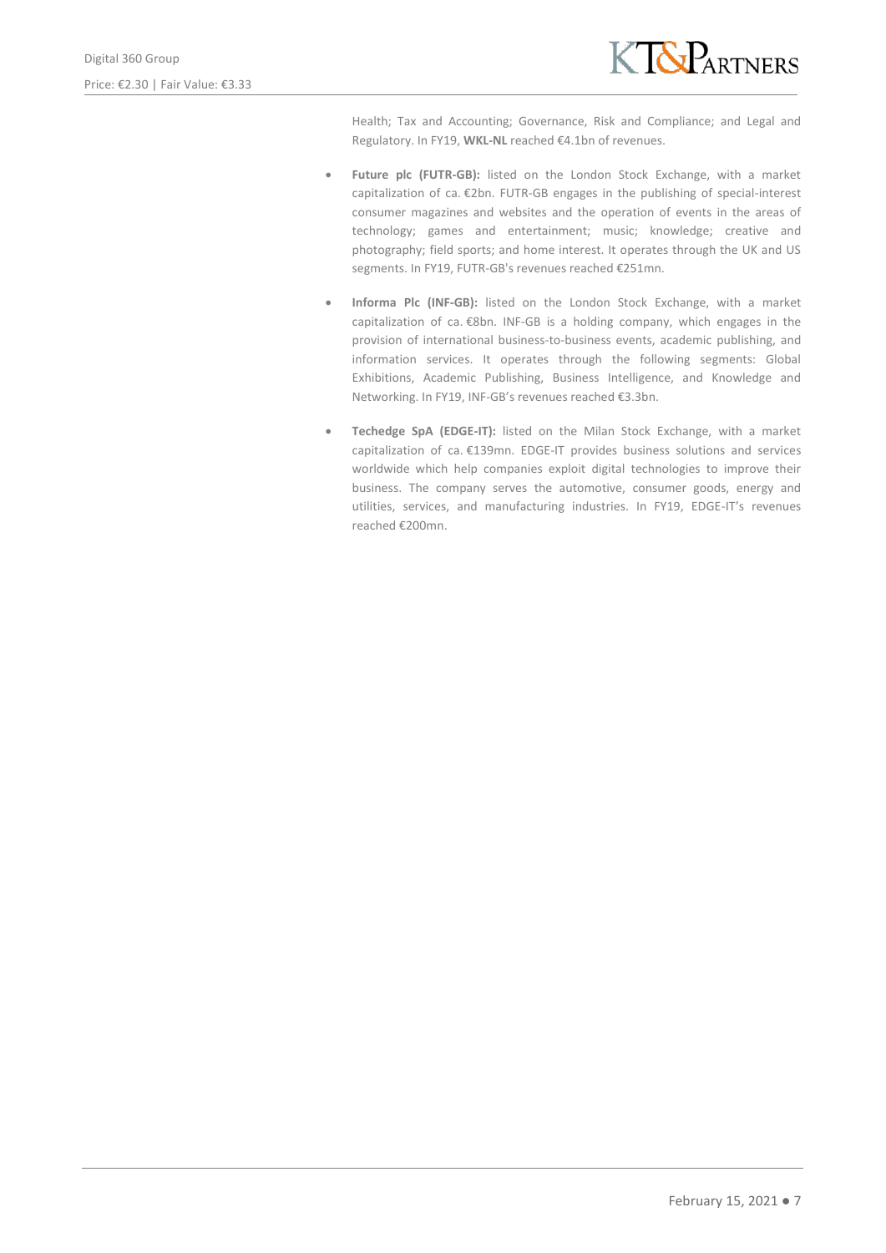

Health; Tax and Accounting; Governance, Risk and Compliance; and Legal and Regulatory. In FY19, **WKL-NL** reached €4.1bn of revenues.

- **Future plc (FUTR-GB):** listed on the London Stock Exchange, with a market capitalization of ca. €2bn. FUTR-GB engages in the publishing of special-interest consumer magazines and websites and the operation of events in the areas of technology; games and entertainment; music; knowledge; creative and photography; field sports; and home interest. It operates through the UK and US segments. In FY19, FUTR-GB's revenues reached €251mn.
- **Informa Plc (INF-GB):** listed on the London Stock Exchange, with a market capitalization of ca. €8bn. INF-GB is a holding company, which engages in the provision of international business-to-business events, academic publishing, and information services. It operates through the following segments: Global Exhibitions, Academic Publishing, Business Intelligence, and Knowledge and Networking. In FY19, INF-GB's revenues reached €3.3bn.
- **Techedge SpA (EDGE-IT):** listed on the Milan Stock Exchange, with a market capitalization of ca. €139mn. EDGE-IT provides business solutions and services worldwide which help companies exploit digital technologies to improve their business. The company serves the automotive, consumer goods, energy and utilities, services, and manufacturing industries. In FY19, EDGE-IT's revenues reached €200mn.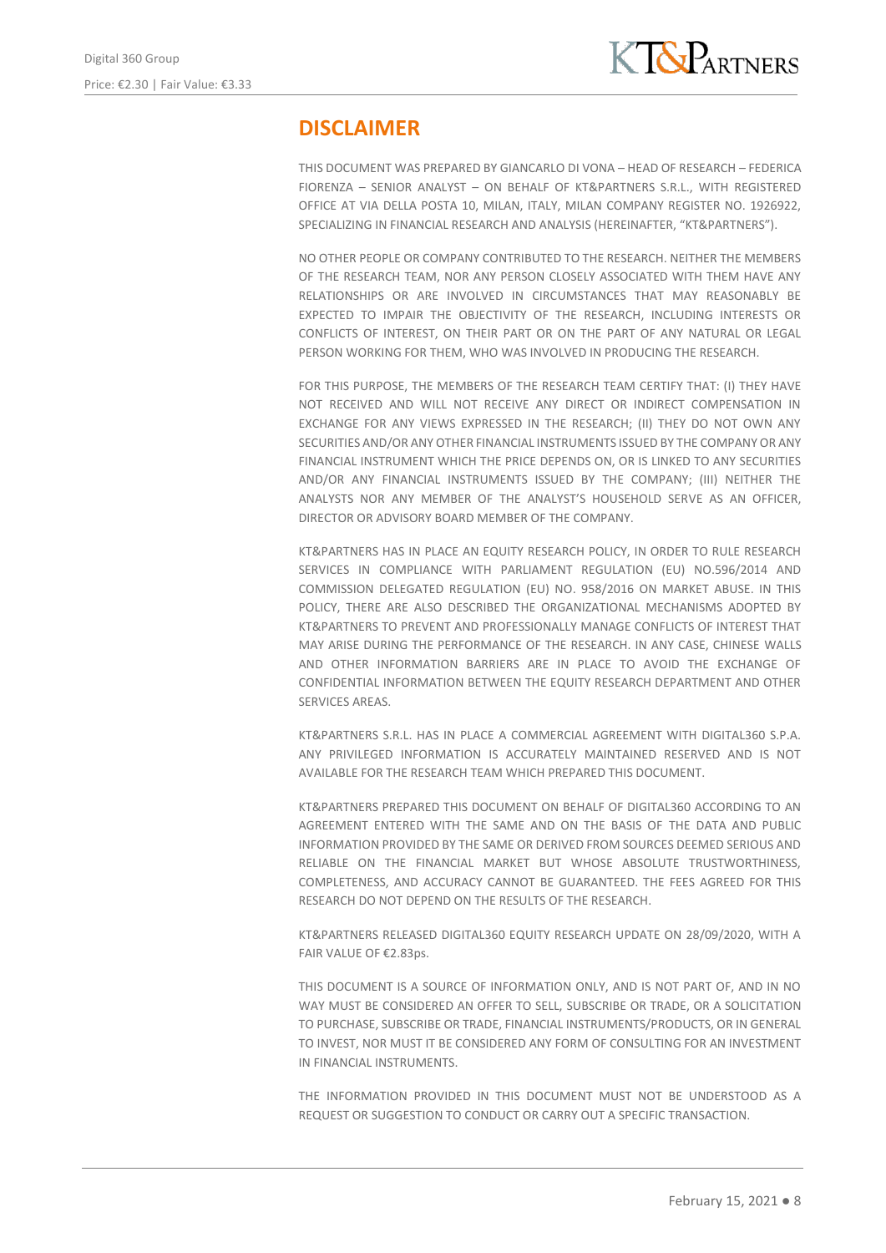# **DISCLAIMER**

THIS DOCUMENT WAS PREPARED BY GIANCARLO DI VONA – HEAD OF RESEARCH – FEDERICA FIORENZA – SENIOR ANALYST – ON BEHALF OF KT&PARTNERS S.R.L., WITH REGISTERED OFFICE AT VIA DELLA POSTA 10, MILAN, ITALY, MILAN COMPANY REGISTER NO. 1926922, SPECIALIZING IN FINANCIAL RESEARCH AND ANALYSIS (HEREINAFTER, "KT&PARTNERS").

NO OTHER PEOPLE OR COMPANY CONTRIBUTED TO THE RESEARCH. NEITHER THE MEMBERS OF THE RESEARCH TEAM, NOR ANY PERSON CLOSELY ASSOCIATED WITH THEM HAVE ANY RELATIONSHIPS OR ARE INVOLVED IN CIRCUMSTANCES THAT MAY REASONABLY BE EXPECTED TO IMPAIR THE OBJECTIVITY OF THE RESEARCH, INCLUDING INTERESTS OR CONFLICTS OF INTEREST, ON THEIR PART OR ON THE PART OF ANY NATURAL OR LEGAL PERSON WORKING FOR THEM, WHO WAS INVOLVED IN PRODUCING THE RESEARCH.

FOR THIS PURPOSE, THE MEMBERS OF THE RESEARCH TEAM CERTIFY THAT: (I) THEY HAVE NOT RECEIVED AND WILL NOT RECEIVE ANY DIRECT OR INDIRECT COMPENSATION IN EXCHANGE FOR ANY VIEWS EXPRESSED IN THE RESEARCH; (II) THEY DO NOT OWN ANY SECURITIES AND/OR ANY OTHER FINANCIAL INSTRUMENTS ISSUED BY THE COMPANY OR ANY FINANCIAL INSTRUMENT WHICH THE PRICE DEPENDS ON, OR IS LINKED TO ANY SECURITIES AND/OR ANY FINANCIAL INSTRUMENTS ISSUED BY THE COMPANY; (III) NEITHER THE ANALYSTS NOR ANY MEMBER OF THE ANALYST'S HOUSEHOLD SERVE AS AN OFFICER, DIRECTOR OR ADVISORY BOARD MEMBER OF THE COMPANY.

KT&PARTNERS HAS IN PLACE AN EQUITY RESEARCH POLICY, IN ORDER TO RULE RESEARCH SERVICES IN COMPLIANCE WITH PARLIAMENT REGULATION (EU) NO.596/2014 AND COMMISSION DELEGATED REGULATION (EU) NO. 958/2016 ON MARKET ABUSE. IN THIS POLICY, THERE ARE ALSO DESCRIBED THE ORGANIZATIONAL MECHANISMS ADOPTED BY KT&PARTNERS TO PREVENT AND PROFESSIONALLY MANAGE CONFLICTS OF INTEREST THAT MAY ARISE DURING THE PERFORMANCE OF THE RESEARCH. IN ANY CASE, CHINESE WALLS AND OTHER INFORMATION BARRIERS ARE IN PLACE TO AVOID THE EXCHANGE OF CONFIDENTIAL INFORMATION BETWEEN THE EQUITY RESEARCH DEPARTMENT AND OTHER SERVICES AREAS.

KT&PARTNERS S.R.L. HAS IN PLACE A COMMERCIAL AGREEMENT WITH DIGITAL360 S.P.A. ANY PRIVILEGED INFORMATION IS ACCURATELY MAINTAINED RESERVED AND IS NOT AVAILABLE FOR THE RESEARCH TEAM WHICH PREPARED THIS DOCUMENT.

KT&PARTNERS PREPARED THIS DOCUMENT ON BEHALF OF DIGITAL360 ACCORDING TO AN AGREEMENT ENTERED WITH THE SAME AND ON THE BASIS OF THE DATA AND PUBLIC INFORMATION PROVIDED BY THE SAME OR DERIVED FROM SOURCES DEEMED SERIOUS AND RELIABLE ON THE FINANCIAL MARKET BUT WHOSE ABSOLUTE TRUSTWORTHINESS, COMPLETENESS, AND ACCURACY CANNOT BE GUARANTEED. THE FEES AGREED FOR THIS RESEARCH DO NOT DEPEND ON THE RESULTS OF THE RESEARCH.

KT&PARTNERS RELEASED DIGITAL360 EQUITY RESEARCH UPDATE ON 28/09/2020, WITH A FAIR VALUE OF €2.83ps.

THIS DOCUMENT IS A SOURCE OF INFORMATION ONLY, AND IS NOT PART OF, AND IN NO WAY MUST BE CONSIDERED AN OFFER TO SELL, SUBSCRIBE OR TRADE, OR A SOLICITATION TO PURCHASE, SUBSCRIBE OR TRADE, FINANCIAL INSTRUMENTS/PRODUCTS, OR IN GENERAL TO INVEST, NOR MUST IT BE CONSIDERED ANY FORM OF CONSULTING FOR AN INVESTMENT IN FINANCIAL INSTRUMENTS.

THE INFORMATION PROVIDED IN THIS DOCUMENT MUST NOT BE UNDERSTOOD AS A REQUEST OR SUGGESTION TO CONDUCT OR CARRY OUT A SPECIFIC TRANSACTION.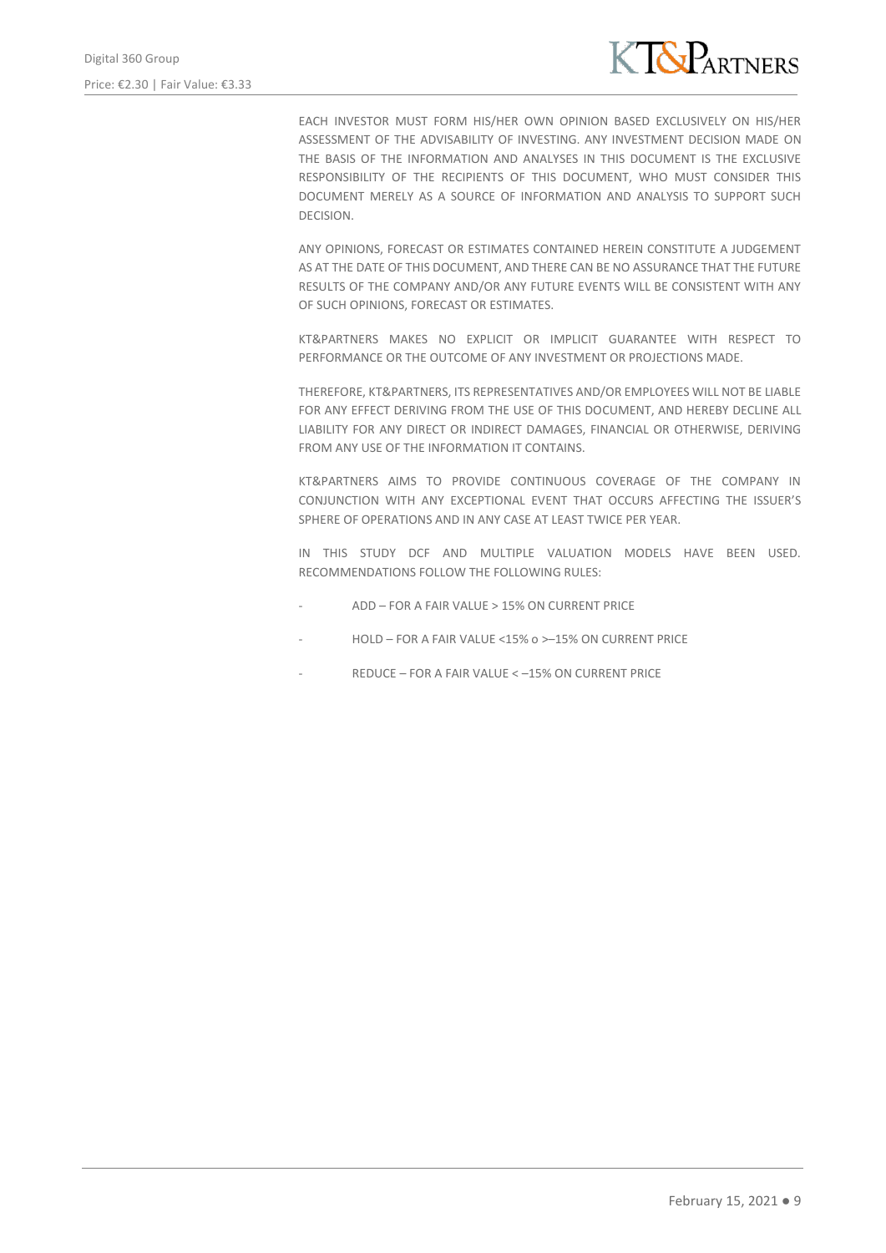

EACH INVESTOR MUST FORM HIS/HER OWN OPINION BASED EXCLUSIVELY ON HIS/HER ASSESSMENT OF THE ADVISABILITY OF INVESTING. ANY INVESTMENT DECISION MADE ON THE BASIS OF THE INFORMATION AND ANALYSES IN THIS DOCUMENT IS THE EXCLUSIVE RESPONSIBILITY OF THE RECIPIENTS OF THIS DOCUMENT, WHO MUST CONSIDER THIS DOCUMENT MERELY AS A SOURCE OF INFORMATION AND ANALYSIS TO SUPPORT SUCH DECISION.

ANY OPINIONS, FORECAST OR ESTIMATES CONTAINED HEREIN CONSTITUTE A JUDGEMENT AS AT THE DATE OF THIS DOCUMENT, AND THERE CAN BE NO ASSURANCE THAT THE FUTURE RESULTS OF THE COMPANY AND/OR ANY FUTURE EVENTS WILL BE CONSISTENT WITH ANY OF SUCH OPINIONS, FORECAST OR ESTIMATES.

KT&PARTNERS MAKES NO EXPLICIT OR IMPLICIT GUARANTEE WITH RESPECT TO PERFORMANCE OR THE OUTCOME OF ANY INVESTMENT OR PROJECTIONS MADE.

THEREFORE, KT&PARTNERS, ITS REPRESENTATIVES AND/OR EMPLOYEES WILL NOT BE LIABLE FOR ANY EFFECT DERIVING FROM THE USE OF THIS DOCUMENT, AND HEREBY DECLINE ALL LIABILITY FOR ANY DIRECT OR INDIRECT DAMAGES, FINANCIAL OR OTHERWISE, DERIVING FROM ANY USE OF THE INFORMATION IT CONTAINS.

KT&PARTNERS AIMS TO PROVIDE CONTINUOUS COVERAGE OF THE COMPANY IN CONJUNCTION WITH ANY EXCEPTIONAL EVENT THAT OCCURS AFFECTING THE ISSUER'S SPHERE OF OPERATIONS AND IN ANY CASE AT LEAST TWICE PER YEAR.

IN THIS STUDY DCF AND MULTIPLE VALUATION MODELS HAVE BEEN USED. RECOMMENDATIONS FOLLOW THE FOLLOWING RULES:

- ADD FOR A FAIR VALUE > 15% ON CURRENT PRICE
- HOLD FOR A FAIR VALUE <15% o > -15% ON CURRENT PRICE
- REDUCE FOR A FAIR VALUE < 15% ON CURRENT PRICE